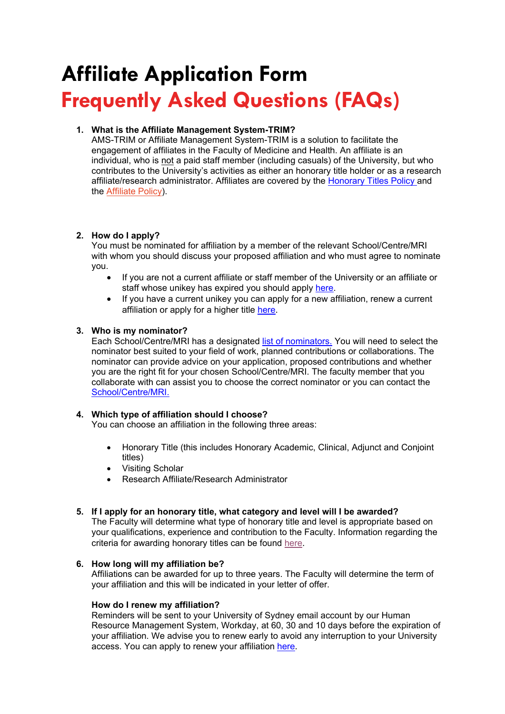# **Affiliate Application Form Frequently Asked Questions (FAQs)**

# **1. What is the Affiliate Management System-TRIM?**

AMS-TRIM or Affiliate Management System-TRIM is a solution to facilitate the engagement of affiliates in the Faculty of Medicine and Health. An affiliate is an individual, who is not a paid staff member (including casuals) of the University, but who contributes to the University's activities as either an honorary title holder or as a research affiliate/research administrator. Affiliates are covered by the [Honorary Titles Policy a](https://www.sydney.edu.au/policies/showdoc.aspx?recnum=PDOC2013/313&RendNum=0)nd the [Affiliate Policy\)](http://sydney.edu.au/policies/showdoc.aspx?recnum=PDOC2011/92&RendNum=0).

# **2. How do I apply?**

You must be nominated for affiliation by a member of the relevant School/Centre/MRI with whom you should discuss your proposed affiliation and who must agree to nominate you.

- If you are not a current affiliate or staff member of the University or an affiliate or staff whose unikey has expired you should apply [here.](https://eforms-records.sydney.edu.au/ERS/fmh_ams)
- If you have a current unikey you can apply for a new affiliation, renew a current affiliation or apply for a higher title [here](https://forms-records.sydney.edu.au/ERS/fmh_ams).

# **3. Who is my nominator?**

Each School/Centre/MRI has a designated [list of nominators.](https://www.sydney.edu.au/content/dam/fmh-ams-contact-details_28march22.pdf) You will need to select the nominator best suited to your field of work, planned contributions or collaborations. The nominator can provide advice on your application, proposed contributions and whether you are the right fit for your chosen School/Centre/MRI. The faculty member that you collaborate with can assist you to choose the correct nominator or you can contact the [School/Centre/MRI.](https://www.sydney.edu.au/content/dam/fmh-ams-contact-details_28march22.pdf)

## **4. Which type of affiliation should I choose?**

You can choose an affiliation in the following three areas:

- Honorary Title (this includes Honorary Academic, Clinical, Adjunct and Conjoint titles)
- Visiting Scholar
- Research Affiliate/Research Administrator

## **5. If I apply for an honorary title, what category and level will I be awarded?**

The Faculty will determine what type of honorary title and level is appropriate based on your qualifications, experience and contribution to the Faculty. Information regarding the criteria for awarding honorary titles can be found [here](https://www.sydney.edu.au/policies/showdoc.aspx?recnum=PDOC2020/515&RendNum=0).

## **6. How long will my affiliation be?**

Affiliations can be awarded for up to three years. The Faculty will determine the term of your affiliation and this will be indicated in your letter of offer.

## **How do I renew my affiliation?**

Reminders will be sent to your University of Sydney email account by our Human Resource Management System, Workday, at 60, 30 and 10 days before the expiration of your affiliation. We advise you to renew early to avoid any interruption to your University access. You can apply to renew your affiliation [here](https://forms-records.sydney.edu.au/ERS/fmh_ams).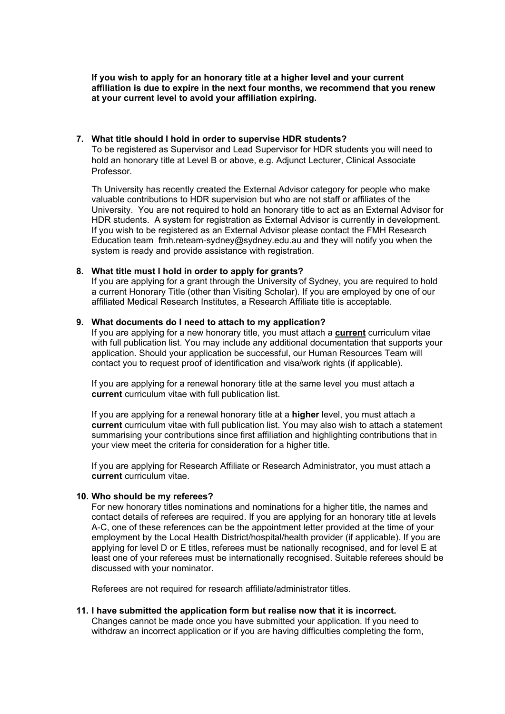**If you wish to apply for an honorary title at a higher level and your current affiliation is due to expire in the next four months, we recommend that you renew at your current level to avoid your affiliation expiring.**

#### **7. What title should I hold in order to supervise HDR students?**

To be registered as Supervisor and Lead Supervisor for HDR students you will need to hold an honorary title at Level B or above, e.g. Adjunct Lecturer, Clinical Associate Professor.

Th University has recently created the External Advisor category for people who make valuable contributions to HDR supervision but who are not staff or affiliates of the University. You are not required to hold an honorary title to act as an External Advisor for HDR students. A system for registration as External Advisor is currently in development. If you wish to be registered as an External Advisor please contact the FMH Research Education team fmh.reteam-sydney@sydney.edu.au and they will notify you when the system is ready and provide assistance with registration.

#### **8. What title must I hold in order to apply for grants?**

If you are applying for a grant through the University of Sydney, you are required to hold a current Honorary Title (other than Visiting Scholar). If you are employed by one of our affiliated Medical Research Institutes, a Research Affiliate title is acceptable.

#### **9. What documents do I need to attach to my application?**

If you are applying for a new honorary title, you must attach a **current** curriculum vitae with full publication list. You may include any additional documentation that supports your application. Should your application be successful, our Human Resources Team will contact you to request proof of identification and visa/work rights (if applicable).

If you are applying for a renewal honorary title at the same level you must attach a **current** curriculum vitae with full publication list.

If you are applying for a renewal honorary title at a **higher** level, you must attach a **current** curriculum vitae with full publication list. You may also wish to attach a statement summarising your contributions since first affiliation and highlighting contributions that in your view meet the criteria for consideration for a higher title.

If you are applying for Research Affiliate or Research Administrator, you must attach a **current** curriculum vitae.

## **10. Who should be my referees?**

For new honorary titles nominations and nominations for a higher title, the names and contact details of referees are required. If you are applying for an honorary title at levels A-C, one of these references can be the appointment letter provided at the time of your employment by the Local Health District/hospital/health provider (if applicable). If you are applying for level D or E titles, referees must be nationally recognised, and for level E at least one of your referees must be internationally recognised. Suitable referees should be discussed with your nominator.

Referees are not required for research affiliate/administrator titles.

#### **11. I have submitted the application form but realise now that it is incorrect.**  Changes cannot be made once you have submitted your application. If you need to withdraw an incorrect application or if you are having difficulties completing the form,